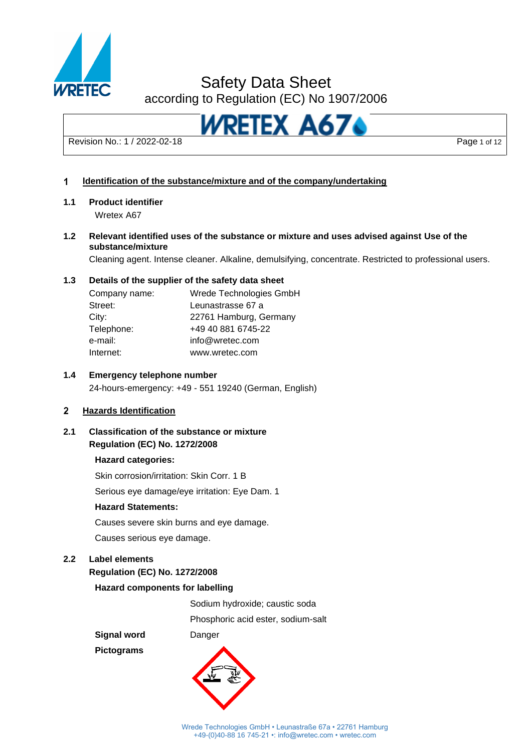

# Safety Data Sheet

according to Regulation (EC) No 1907/2006



#### **ldentification of the substance/mixture and of the company/undertaking**  $\overline{\mathbf{1}}$

### **1.1 Product identifier**

Wretex A67

**1.2 Relevant identified uses of the substance or mixture and uses advised against Use of the substance/mixture**

Cleaning agent. Intense cleaner. Alkaline, demulsifying, concentrate. Restricted to professional users.

### **1.3 Details of the supplier of the safety data sheet**

| Company name: | Wrede Technologies GmbH |
|---------------|-------------------------|
| Street:       | Leunastrasse 67 a       |
| City:         | 22761 Hamburg, Germany  |
| Telephone:    | +49 40 881 6745-22      |
| e-mail:       | info@wretec.com         |
| Internet:     | www.wretec.com          |

### **1.4 Emergency telephone number**

24-hours-emergency: +49 - 551 19240 (German, English)

#### $\overline{2}$ **Hazards Identification**

## **2.1 Classification of the substance or mixture Regulation (EC) No. 1272/2008**

#### **Hazard categories:**

Skin corrosion/irritation: Skin Corr. 1 B

Serious eye damage/eye irritation: Eye Dam. 1

#### **Hazard Statements:**

Causes severe skin burns and eye damage.

Causes serious eye damage.

# **2.2 Label elements**

# **Regulation (EC) No. 1272/2008**

### **Hazard components for labelling**

Sodium hydroxide; caustic soda

Phosphoric acid ester, sodium-salt

**Pictograms**

**Signal word** Danger

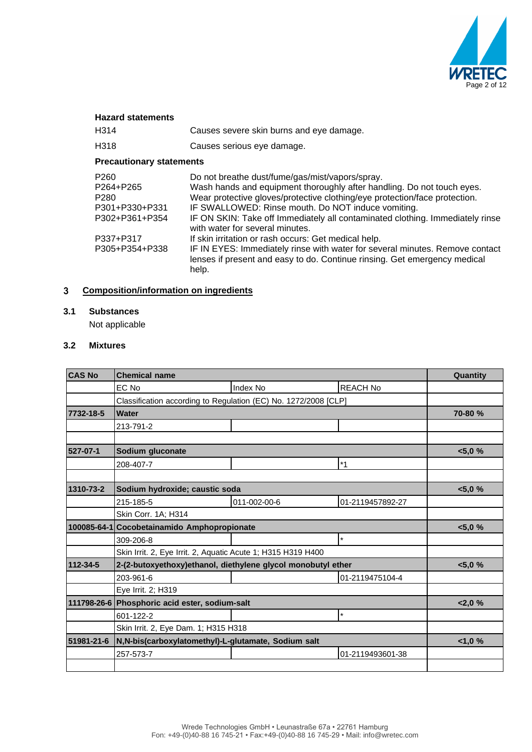

| <b>Hazard statements</b>                                                                                             |                                                                                                                                                                                                                                                                                                                                                                                                                                                                                                                                                                                                                 |
|----------------------------------------------------------------------------------------------------------------------|-----------------------------------------------------------------------------------------------------------------------------------------------------------------------------------------------------------------------------------------------------------------------------------------------------------------------------------------------------------------------------------------------------------------------------------------------------------------------------------------------------------------------------------------------------------------------------------------------------------------|
| H314                                                                                                                 | Causes severe skin burns and eye damage.                                                                                                                                                                                                                                                                                                                                                                                                                                                                                                                                                                        |
| H <sub>318</sub>                                                                                                     | Causes serious eye damage.                                                                                                                                                                                                                                                                                                                                                                                                                                                                                                                                                                                      |
| <b>Precautionary statements</b>                                                                                      |                                                                                                                                                                                                                                                                                                                                                                                                                                                                                                                                                                                                                 |
| P <sub>260</sub><br>P264+P265<br>P <sub>280</sub><br>P301+P330+P331<br>P302+P361+P354<br>P337+P317<br>P305+P354+P338 | Do not breathe dust/fume/gas/mist/vapors/spray.<br>Wash hands and equipment thoroughly after handling. Do not touch eyes.<br>Wear protective gloves/protective clothing/eye protection/face protection.<br>IF SWALLOWED: Rinse mouth. Do NOT induce vomiting.<br>IF ON SKIN: Take off Immediately all contaminated clothing. Immediately rinse<br>with water for several minutes.<br>If skin irritation or rash occurs: Get medical help.<br>IF IN EYES: Immediately rinse with water for several minutes. Remove contact<br>lenses if present and easy to do. Continue rinsing. Get emergency medical<br>help. |
|                                                                                                                      |                                                                                                                                                                                                                                                                                                                                                                                                                                                                                                                                                                                                                 |

#### **Composition/information on ingredients**  $\overline{\mathbf{3}}$

### **3.1 Substances**

Not applicable

#### **3.2 Mixtures**

| <b>CAS No</b> | <b>Chemical name</b>                                            | Quantity     |                  |           |
|---------------|-----------------------------------------------------------------|--------------|------------------|-----------|
|               | EC No                                                           | Index No     | <b>REACH No</b>  |           |
|               | Classification according to Regulation (EC) No. 1272/2008 [CLP] |              |                  |           |
| 7732-18-5     | <b>Water</b>                                                    |              |                  | 70-80 %   |
|               | 213-791-2                                                       |              |                  |           |
|               |                                                                 |              |                  |           |
| 527-07-1      | Sodium gluconate                                                |              |                  | < 5,0%    |
|               | 208-407-7                                                       |              | $*1$             |           |
|               |                                                                 |              |                  |           |
| 1310-73-2     | Sodium hydroxide; caustic soda                                  |              |                  | $< 5,0\%$ |
|               | 215-185-5                                                       | 011-002-00-6 | 01-2119457892-27 |           |
|               | Skin Corr. 1A; H314                                             |              |                  |           |
|               | 100085-64-1 Cocobetainamido Amphopropionate                     |              | < 5,0%           |           |
|               | 309-206-8                                                       |              | $\star$          |           |
|               | Skin Irrit. 2, Eye Irrit. 2, Aquatic Acute 1; H315 H319 H400    |              |                  |           |
| 112-34-5      | 2-(2-butoxyethoxy)ethanol, diethylene glycol monobutyl ether    |              |                  | $< 5,0\%$ |
|               | 203-961-6                                                       |              | 01-2119475104-4  |           |
|               | Eye Irrit. 2; H319                                              |              |                  |           |
|               | 111798-26-6 Phosphoric acid ester, sodium-salt                  |              |                  | 2.0%      |
|               | 601-122-2                                                       |              | $\star$          |           |
|               | Skin Irrit. 2, Eye Dam. 1; H315 H318                            |              |                  |           |
| 51981-21-6    | N, N-bis(carboxylatomethyl)-L-glutamate, Sodium salt            |              |                  | <1,0%     |
|               | 257-573-7                                                       |              | 01-2119493601-38 |           |
|               |                                                                 |              |                  |           |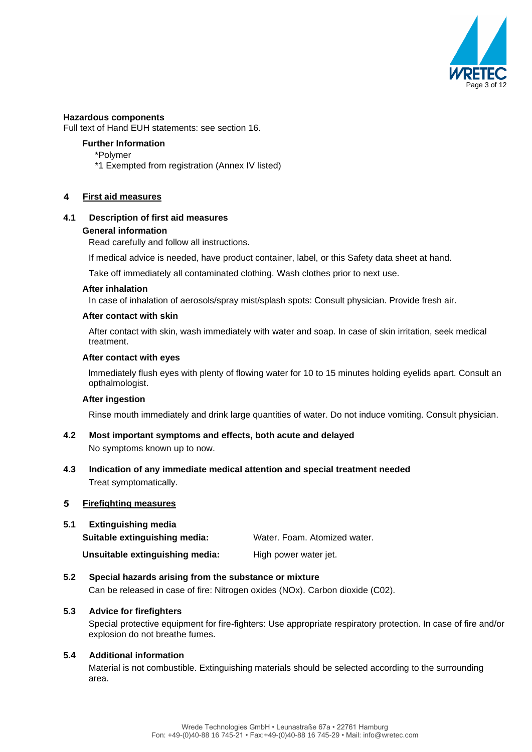

#### **Hazardous components**

Full text of Hand EUH statements: see section 16.

### **Further Information**

- \*Polymer
- \*1 Exempted from registration (Annex IV listed)

#### $\overline{\mathbf{4}}$ **First aid measures**

#### **4.1 Description of first aid measures**

#### **General information**

Read carefully and follow all instructions.

If medical advice is needed, have product container, label, or this Safety data sheet at hand.

Take off immediately all contaminated clothing. Wash clothes prior to next use.

#### **After inhalation**

In case of inhalation of aerosols/spray mist/splash spots: Consult physician. Provide fresh air.

#### **After contact with skin**

After contact with skin, wash immediately with water and soap. In case of skin irritation, seek medical treatment.

#### **After contact with eyes**

lmmediately flush eyes with plenty of flowing water for 10 to 15 minutes holding eyelids apart. Consult an opthalmologist.

#### **After ingestion**

Rinse mouth immediately and drink large quantities of water. Do not induce vomiting. Consult physician.

#### **4.2 Most important symptoms and effects, both acute and delayed** No symptoms known up to now.

**4.3 lndication of any immediate medical attention and special treatment needed** Treat symptomatically.

#### 5 **Firefighting measures**

# **5.1 Extinguishing media Suitable extinguishing media:** Water. Foam. Atomized water. **Unsuitable extinguishing media:** High power water jet.

**5.2 Special hazards arising from the substance or mixture**  Can be released in case of fire: Nitrogen oxides (NOx). Carbon dioxide (C02).

### **5.3 Advice for firefighters**

Special protective equipment for fire-fighters: Use appropriate respiratory protection. In case of fire and/or explosion do not breathe fumes.

#### **5.4 Additional information**

Material is not combustible. Extinguishing materials should be selected according to the surrounding area.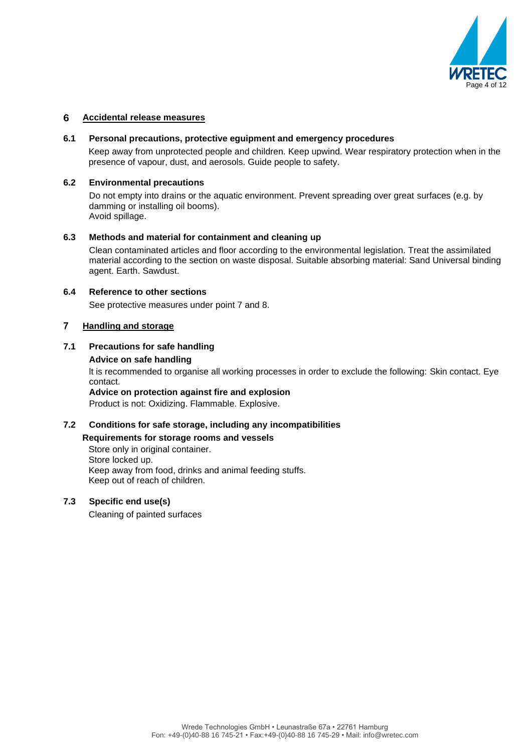

#### 6 **Accidental release measures**

#### **6.1 Personal precautions, protective eguipment and emergency procedures**

Keep away from unprotected people and children. Keep upwind. Wear respiratory protection when in the presence of vapour, dust, and aerosols. Guide people to safety.

#### **6.2 Environmental precautions**

Do not empty into drains or the aquatic environment. Prevent spreading over great surfaces (e.g. by damming or installing oil booms). Avoid spillage.

#### **6.3 Methods and material for containment and cleaning up**

Clean contaminated articles and floor according to the environmental legislation. Treat the assimilated material according to the section on waste disposal. Suitable absorbing material: Sand Universal binding agent. Earth. Sawdust.

#### **6.4 Reference to other sections**

See protective measures under point 7 and 8.

#### $\overline{7}$ **Handling and storage**

### **7.1 Precautions for safe handling**

**Advice on safe handling**

lt is recommended to organise all working processes in order to exclude the following: Skin contact. Eye contact.

**Advice on protection against fire and explosion**

Product is not: Oxidizing. Flammable. Explosive.

# **7.2 Conditions for safe storage, including any incompatibilities**

# **Requirements for storage rooms and vessels**

Store only in original container. Store locked up. Keep away from food, drinks and animal feeding stuffs. Keep out of reach of children.

### **7.3 Specific end use(s)**

Cleaning of painted surfaces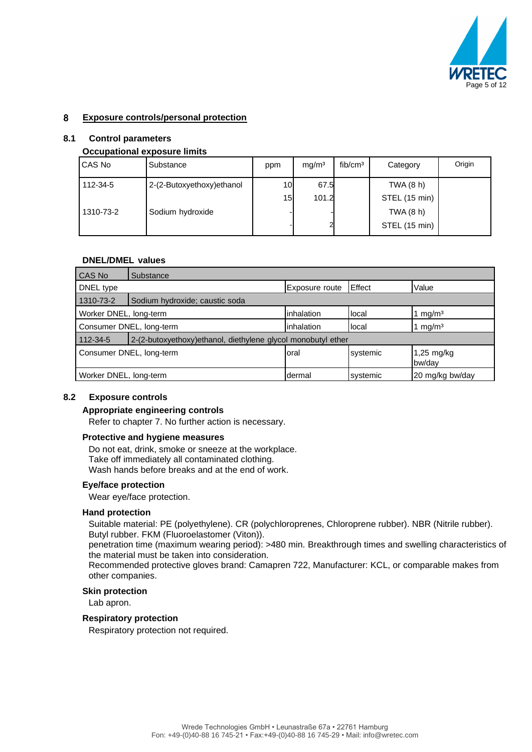

#### 8 **Exposure controls/personal protection**

#### **8.1 Control parameters**

#### **Occupational exposure limits**

| CAS No    | Substance                 | ppm             | mq/m <sup>3</sup> | fib/cm <sup>3</sup> | Category      | Origin |
|-----------|---------------------------|-----------------|-------------------|---------------------|---------------|--------|
| 112-34-5  | 2-(2-Butoxyethoxy)ethanol | 10 <sup>1</sup> | 67.5              |                     | TWA $(8 h)$   |        |
|           |                           | 15              | 101.2             |                     | STEL (15 min) |        |
| 1310-73-2 | Sodium hydroxide          |                 |                   |                     | TWA (8 h)     |        |
|           |                           |                 | 21                |                     | STEL (15 min) |        |

#### **DNEL/DMEL values**

| CAS No                 | Substance                                                              |                       |               |                                |  |
|------------------------|------------------------------------------------------------------------|-----------------------|---------------|--------------------------------|--|
| DNEL type              |                                                                        | <b>Exposure route</b> | <b>Effect</b> | Value                          |  |
| 1310-73-2              | Sodium hydroxide; caustic soda                                         |                       |               |                                |  |
|                        | inhalation<br>Worker DNEL, long-term<br>local<br>1 mg/m <sup>3</sup>   |                       |               |                                |  |
|                        | inhalation<br>Consumer DNEL, long-term<br>local<br>1 mg/m <sup>3</sup> |                       |               |                                |  |
| 112-34-5               | 2-(2-butoxyethoxy) ethanol, diethylene glycol monobutyl ether          |                       |               |                                |  |
|                        | Consumer DNEL, long-term                                               | loral                 | systemic      | $1,25 \text{ mg/kg}$<br>bw/day |  |
| Worker DNEL, long-term |                                                                        | dermal                | systemic      | 20 mg/kg bw/day                |  |

#### **8.2 Exposure controls**

#### **Appropriate engineering controls**

Refer to chapter 7. No further action is necessary.

#### **Protective and hygiene measures**

Do not eat, drink, smoke or sneeze at the workplace. Take off immediately all contaminated clothing. Wash hands before breaks and at the end of work.

#### **Eye/face protection**

Wear eye/face protection.

#### **Hand protection**

Suitable material: PE (polyethylene). CR (polychloroprenes, Chloroprene rubber). NBR (Nitrile rubber). Butyl rubber. FKM (Fluoroelastomer (Viton)).

penetration time (maximum wearing period): >480 min. Breakthrough times and swelling characteristics of the material must be taken into consideration.

Recommended protective gloves brand: Camapren 722, Manufacturer: KCL, or comparable makes from other companies.

### **Skin protection**

Lab apron.

#### **Respiratory protection**

Respiratory protection not required.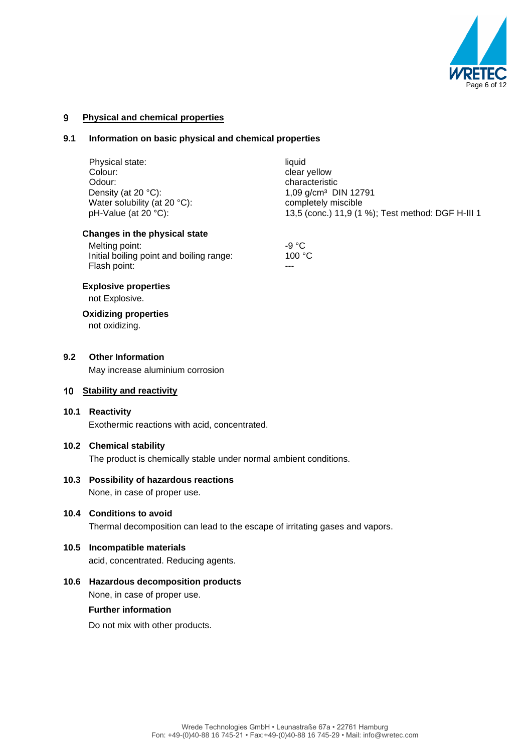

#### $9$ **Physical and chemical properties**

#### **9.1 Information on basic physical and chemical properties**

|      | Physical state:<br>Colour:<br>Odour:                                                                        | liquid<br>clear yellow<br>characteristic                                                                     |  |  |  |
|------|-------------------------------------------------------------------------------------------------------------|--------------------------------------------------------------------------------------------------------------|--|--|--|
|      | Density (at 20 °C):<br>Water solubility (at 20 °C):<br>pH-Value (at 20 °C):                                 | 1,09 g/cm <sup>3</sup> DIN 12791<br>completely miscible<br>13,5 (conc.) 11,9 (1 %); Test method: DGF H-III 1 |  |  |  |
|      | Changes in the physical state<br>Melting point:<br>Initial boiling point and boiling range:<br>Flash point: | $-9 °C$<br>100 °C<br>---                                                                                     |  |  |  |
|      | <b>Explosive properties</b><br>not Explosive.                                                               |                                                                                                              |  |  |  |
|      | <b>Oxidizing properties</b><br>not oxidizing.                                                               |                                                                                                              |  |  |  |
| 9.2  | <b>Other Information</b>                                                                                    |                                                                                                              |  |  |  |
|      | May increase aluminium corrosion                                                                            |                                                                                                              |  |  |  |
| 10   | <b>Stability and reactivity</b>                                                                             |                                                                                                              |  |  |  |
| 10.1 | Reactivity<br>Exothermic reactions with acid, concentrated.                                                 |                                                                                                              |  |  |  |
|      | 10.2 Chemical stability<br>The product is chemically stable under normal ambient conditions.                |                                                                                                              |  |  |  |
|      | 10.3 Possibility of hazardous reactions<br>None, in case of proper use.                                     |                                                                                                              |  |  |  |
|      | 10.4 Conditions to avoid<br>Thermal decomposition can lead to the escape of irritating gases and vapors.    |                                                                                                              |  |  |  |
| 10.5 | <b>Incompatible materials</b><br>acid, concentrated. Reducing agents.                                       |                                                                                                              |  |  |  |
| 10.6 | <b>Hazardous decomposition products</b><br>None, in case of proper use.                                     |                                                                                                              |  |  |  |

# **Further information**

Do not mix with other products.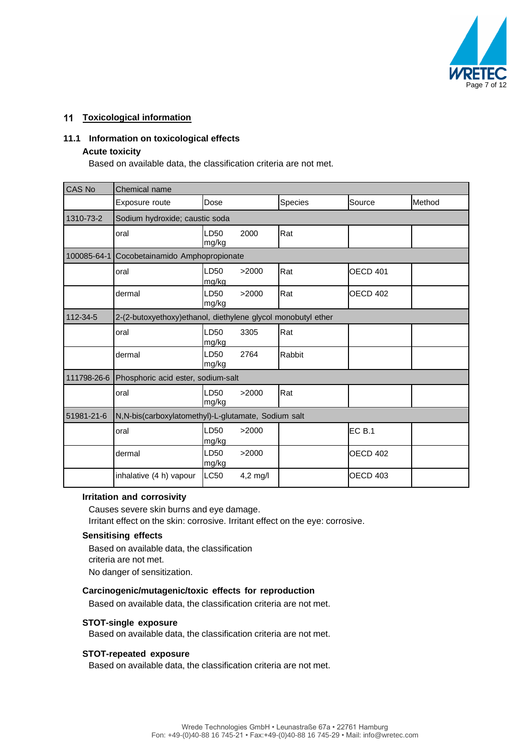

#### **Toxicological information**

#### **11.1 Information on toxicological effects**

#### **Acute toxicity**

Based on available data, the classification criteria are not met.

| CAS No      | Chemical name                                                |               |            |         |                 |        |
|-------------|--------------------------------------------------------------|---------------|------------|---------|-----------------|--------|
|             | Exposure route                                               | Dose          |            | Species | Source          | Method |
| 1310-73-2   | Sodium hydroxide; caustic soda                               |               |            |         |                 |        |
|             | oral                                                         | LD50<br>mg/kg | 2000       | Rat     |                 |        |
| 100085-64-1 | Cocobetainamido Amphopropionate                              |               |            |         |                 |        |
|             | oral                                                         | LD50<br>mg/kg | >2000      | Rat     | <b>OECD 401</b> |        |
|             | dermal                                                       | LD50<br>mg/kg | >2000      | Rat     | <b>OECD 402</b> |        |
| 112-34-5    | 2-(2-butoxyethoxy)ethanol, diethylene glycol monobutyl ether |               |            |         |                 |        |
|             | oral                                                         | LD50<br>mg/kg | 3305       | Rat     |                 |        |
|             | dermal                                                       | LD50<br>mg/kg | 2764       | Rabbit  |                 |        |
| 111798-26-6 | Phosphoric acid ester, sodium-salt                           |               |            |         |                 |        |
|             | oral                                                         | LD50<br>mg/kg | >2000      | Rat     |                 |        |
| 51981-21-6  | N,N-bis(carboxylatomethyl)-L-glutamate, Sodium salt          |               |            |         |                 |        |
|             | oral                                                         | LD50<br>mg/kg | >2000      |         | <b>EC B.1</b>   |        |
|             | dermal                                                       | LD50<br>mg/kg | >2000      |         | <b>OECD 402</b> |        |
|             | inhalative (4 h) vapour                                      | <b>LC50</b>   | $4.2$ mg/l |         | <b>OECD 403</b> |        |

#### **Irritation and corrosivity**

Causes severe skin burns and eye damage. Irritant effect on the skin: corrosive. Irritant effect on the eye: corrosive.

#### **Sensitising effects**

Based on available data, the classification criteria are not met. No danger of sensitization.

#### **Carcinogenic/mutagenic/toxic effects for reproduction**

Based on available data, the classification criteria are not met.

### **STOT-single exposure**

Based on available data, the classification criteria are not met.

#### **STOT-repeated exposure**

Based on available data, the classification criteria are not met.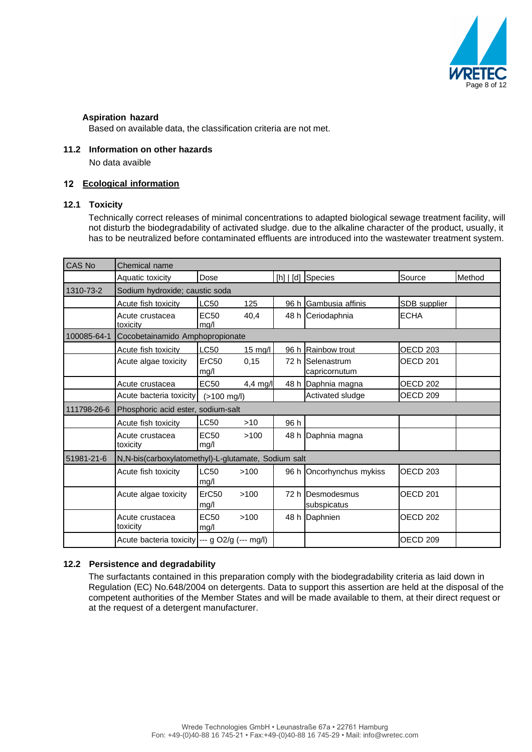

#### **Aspiration hazard**

Based on available data, the classification criteria are not met.

#### **11.2 Information on other hazards**

No data avaible

#### **Ecological information**

### **12.1 Toxicity**

Technically correct releases of minimal concentrations to adapted biological sewage treatment facility, will not disturb the biodegradability of activated sludge. due to the alkaline character of the product, usually, it has to be neutralized before contaminated effluents are introduced into the wastewater treatment system.

| <b>CAS No</b> | Chemical name                                       |                          |            |      |                                   |                     |        |
|---------------|-----------------------------------------------------|--------------------------|------------|------|-----------------------------------|---------------------|--------|
|               | Aquatic toxicity                                    | Dose                     |            |      | [h]   [d] Species                 | Source              | Method |
| 1310-73-2     | Sodium hydroxide; caustic soda                      |                          |            |      |                                   |                     |        |
|               | Acute fish toxicity                                 | LC50                     | 125        |      | 96 h Gambusia affinis             | SDB supplier        |        |
|               | Acute crustacea<br>toxicity                         | EC <sub>50</sub><br>mg/l | 40,4       |      | 48 h Ceriodaphnia                 | <b>ECHA</b>         |        |
| 100085-64-1   | Cocobetainamido Amphopropionate                     |                          |            |      |                                   |                     |        |
|               | Acute fish toxicity                                 | LC50                     | $15$ mg/l  |      | 96 h Rainbow trout                | OECD <sub>203</sub> |        |
|               | Acute algae toxicity                                | ErC50<br>mg/l            | 0,15       |      | 72 h Selenastrum<br>capricornutum | <b>OECD 201</b>     |        |
|               | Acute crustacea                                     | <b>EC50</b>              | $4.4$ mg/l |      | 48 h Daphnia magna                | <b>OECD 202</b>     |        |
|               | Acute bacteria toxicity                             | $(>100$ mg/l)            |            |      | Activated sludge                  | OECD <sub>209</sub> |        |
| 111798-26-6   | Phosphoric acid ester, sodium-salt                  |                          |            |      |                                   |                     |        |
|               | Acute fish toxicity                                 | LC50                     | $>10$      | 96 h |                                   |                     |        |
|               | Acute crustacea<br>toxicity                         | <b>EC50</b><br>mg/l      | >100       |      | 48 h Daphnia magna                |                     |        |
| 51981-21-6    | N,N-bis(carboxylatomethyl)-L-glutamate, Sodium salt |                          |            |      |                                   |                     |        |
|               | Acute fish toxicity                                 | LC50<br>mg/l             | >100       |      | 96 h Oncorhynchus mykiss          | <b>OECD 203</b>     |        |
|               | Acute algae toxicity                                | ErC50<br>mg/l            | >100       |      | 72 h Desmodesmus<br>subspicatus   | <b>OECD 201</b>     |        |
|               | Acute crustacea<br>toxicity                         | <b>EC50</b><br>mg/l      | >100       |      | 48 h Daphnien                     | <b>OECD 202</b>     |        |
|               | Acute bacteria toxicity --- g O2/g (--- mg/l)       |                          |            |      |                                   | OECD <sub>209</sub> |        |

#### **12.2 Persistence and degradability**

The surfactants contained in this preparation comply with the biodegradability criteria as laid down in Regulation (EC) No.648/2004 on detergents. Data to support this assertion are held at the disposal of the competent authorities of the Member States and will be made available to them, at their direct request or at the request of a detergent manufacturer.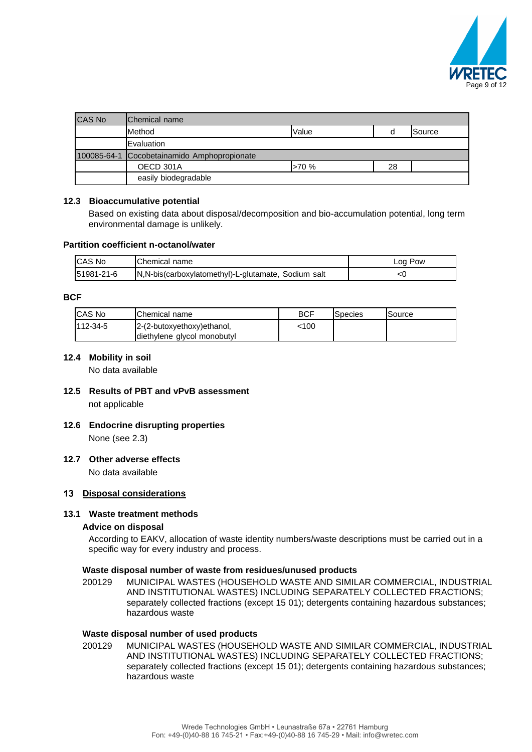

| <b>CAS No</b> | <b>Chemical name</b>            |       |    |        |
|---------------|---------------------------------|-------|----|--------|
|               | Method                          | Value | a  | Source |
|               | Evaluation                      |       |    |        |
| 100085-64-1   | Cocobetainamido Amphopropionate |       |    |        |
|               | OECD 301A                       | >70%  | 28 |        |
|               | easily biodegradable            |       |    |        |

#### **12.3 Bioaccumulative potential**

Based on existing data about disposal/decomposition and bio-accumulation potential, long term environmental damage is unlikely.

#### **Partition coefficient n-octanol/water**

| <b>ICAS No</b> | <b>Chemical name</b>                                | Log Pow |
|----------------|-----------------------------------------------------|---------|
| 51981-21-6     | N.N-bis(carboxylatomethyl)-L-glutamate, Sodium salt |         |

#### **BCF**

| <b>CAS No</b> | Chemical name               | <b>BCF</b> | Species | Source |
|---------------|-----------------------------|------------|---------|--------|
| 112-34-5      | 2-(2-butoxyethoxy)ethanol,  | 100ء       |         |        |
|               | diethylene glycol monobutyl |            |         |        |

#### **12.4 Mobility in soil**

No data available

- **12.5 Results of PBT and vPvB assessment** not applicable
- **12.6 Endocrine disrupting properties** None (see 2.3)

#### **12.7 Other adverse effects**

No data available

#### **Disposal considerations**

#### **13.1 Waste treatment methods**

#### **Advice on disposal**

According to EAKV, allocation of waste identity numbers/waste descriptions must be carried out in a specific way for every industry and process.

#### **Waste disposal number of waste from residues/unused products**

200129 MUNICIPAL WASTES (HOUSEHOLD WASTE AND SIMILAR COMMERCIAL, INDUSTRIAL AND INSTITUTIONAL WASTES) INCLUDING SEPARATELY COLLECTED FRACTIONS; separately collected fractions (except 15 01); detergents containing hazardous substances; hazardous waste

#### **Waste disposal number of used products**

200129 MUNICIPAL WASTES (HOUSEHOLD WASTE AND SIMILAR COMMERCIAL, INDUSTRIAL AND INSTITUTIONAL WASTES) INCLUDING SEPARATELY COLLECTED FRACTIONS; separately collected fractions (except 15 01); detergents containing hazardous substances; hazardous waste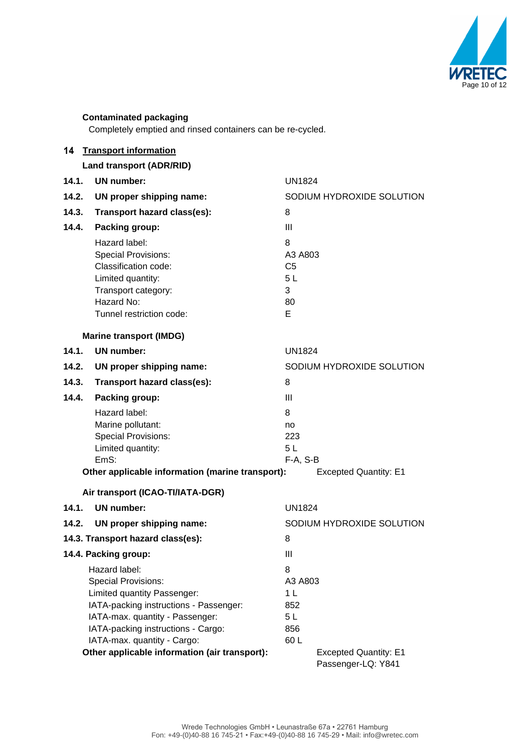

# **Contaminated packaging**

Completely emptied and rinsed containers can be re-cycled.

| 14                                                        | <b>Transport information</b>                                                                                                                              |                                                      |  |  |  |
|-----------------------------------------------------------|-----------------------------------------------------------------------------------------------------------------------------------------------------------|------------------------------------------------------|--|--|--|
|                                                           | Land transport (ADR/RID)                                                                                                                                  |                                                      |  |  |  |
| 14.1.                                                     | UN number:                                                                                                                                                | <b>UN1824</b>                                        |  |  |  |
| 14.2.                                                     | UN proper shipping name:                                                                                                                                  | SODIUM HYDROXIDE SOLUTION                            |  |  |  |
| 14.3.                                                     | Transport hazard class(es):                                                                                                                               | 8                                                    |  |  |  |
| 14.4.                                                     | Packing group:                                                                                                                                            | III                                                  |  |  |  |
|                                                           | Hazard label:<br><b>Special Provisions:</b><br>Classification code:<br>Limited quantity:<br>Transport category:<br>Hazard No:<br>Tunnel restriction code: | 8<br>A3 A803<br>C <sub>5</sub><br>5L<br>3<br>80<br>E |  |  |  |
|                                                           | <b>Marine transport (IMDG)</b>                                                                                                                            |                                                      |  |  |  |
| 14.1.                                                     | UN number:                                                                                                                                                | <b>UN1824</b>                                        |  |  |  |
| 14.2.                                                     | UN proper shipping name:                                                                                                                                  | SODIUM HYDROXIDE SOLUTION                            |  |  |  |
| 14.3.                                                     | Transport hazard class(es):                                                                                                                               | 8                                                    |  |  |  |
| 14.4.                                                     | Packing group:                                                                                                                                            | Ш                                                    |  |  |  |
|                                                           | Hazard label:<br>Marine pollutant:<br><b>Special Provisions:</b><br>Limited quantity:<br>EmS:                                                             | 8<br>no<br>223<br>5L<br>F-A, S-B                     |  |  |  |
|                                                           | Other applicable information (marine transport):                                                                                                          | <b>Excepted Quantity: E1</b>                         |  |  |  |
|                                                           | Air transport (ICAO-TI/IATA-DGR)                                                                                                                          |                                                      |  |  |  |
| 14.1.                                                     | UN number:                                                                                                                                                | <b>UN1824</b>                                        |  |  |  |
| 14.2.                                                     | UN proper shipping name:                                                                                                                                  | SODIUM HYDROXIDE SOLUTION                            |  |  |  |
|                                                           | 14.3. Transport hazard class(es):                                                                                                                         | 8                                                    |  |  |  |
|                                                           | 14.4. Packing group:                                                                                                                                      | Ш                                                    |  |  |  |
|                                                           | Hazard label:                                                                                                                                             | 8                                                    |  |  |  |
| <b>Special Provisions:</b><br>Limited quantity Passenger: |                                                                                                                                                           | A3 A803<br>1 <sub>L</sub>                            |  |  |  |
| IATA-packing instructions - Passenger:                    |                                                                                                                                                           | 852                                                  |  |  |  |
|                                                           | IATA-max. quantity - Passenger:                                                                                                                           | 5L                                                   |  |  |  |
|                                                           | IATA-packing instructions - Cargo:                                                                                                                        | 856                                                  |  |  |  |
|                                                           | IATA-max. quantity - Cargo:<br>Other applicable information (air transport):                                                                              | 60L<br><b>Excepted Quantity: E1</b>                  |  |  |  |
|                                                           |                                                                                                                                                           | Passenger-LQ: Y841                                   |  |  |  |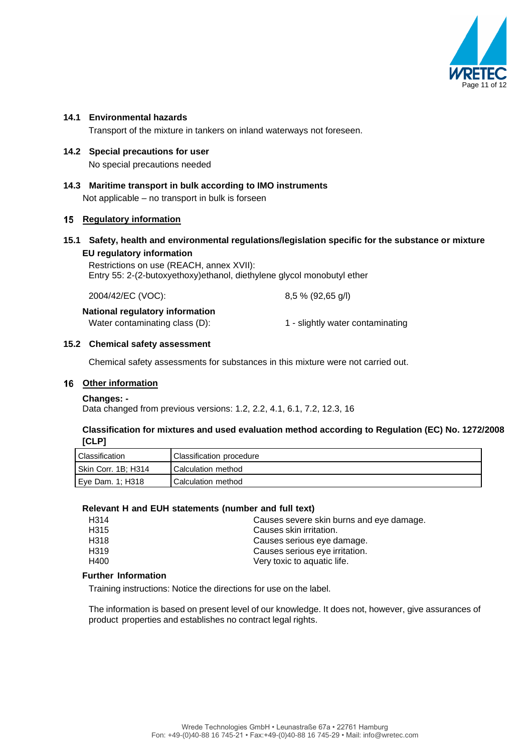

#### **14.1 Environmental hazards**

Transport of the mixture in tankers on inland waterways not foreseen.

- **14.2 Special precautions for user**  No special precautions needed
- **14.3 Maritime transport in bulk according to IMO instruments** Not applicable – no transport in bulk is forseen

### **15 Regulatory information**

#### **15.1 Safety, health and environmental regulations/legislation specific for the substance or mixture EU regulatory information**

Restrictions on use (REACH, annex XVII): Entry 55: 2-(2-butoxyethoxy)ethanol, diethylene glycol monobutyl ether

| 2004/42/EC (VOC):                      | $8,5%$ (92,65 g/l)               |  |  |  |
|----------------------------------------|----------------------------------|--|--|--|
| <b>National regulatory information</b> |                                  |  |  |  |
| Water contaminating class (D):         | 1 - slightly water contaminating |  |  |  |

#### **15.2 Chemical safety assessment**

Chemical safety assessments for substances in this mixture were not carried out.

#### **Other information**

#### **Changes: -**

Data changed from previous versions: 1.2, 2.2, 4.1, 6.1, 7.2, 12.3, 16

#### **Classification for mixtures and used evaluation method according to Regulation (EC) No. 1272/2008 [CLP]**

| Classification      | Classification procedure |
|---------------------|--------------------------|
| Skin Corr. 1B; H314 | Calculation method       |
| Eve Dam. 1: H318    | Calculation method       |

#### **Relevant H and EUH statements (number and full text)**

| H314             | Causes severe skin burns and eye damage. |
|------------------|------------------------------------------|
| H315             | Causes skin irritation.                  |
| H318             | Causes serious eye damage.               |
| H <sub>319</sub> | Causes serious eye irritation.           |
| H400             | Very toxic to aquatic life.              |
|                  |                                          |

#### **Further Information**

Training instructions: Notice the directions for use on the label.

The information is based on present level of our knowledge. It does not, however, give assurances of product properties and establishes no contract legal rights.